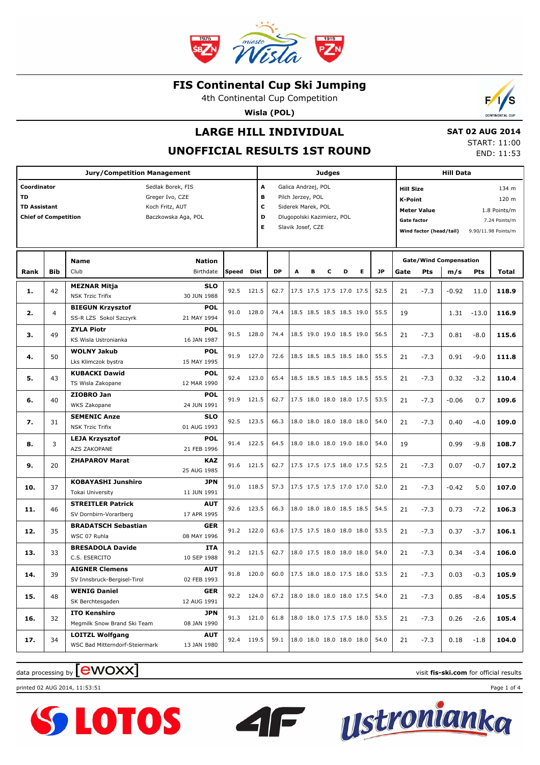

4th Continental Cup Competition

**Wisla (POL)**

## **LARGE HILL INDIVIDUAL**

 **SAT 02 AUG 2014**

S

### **UNOFFICIAL RESULTS 1ST ROUND**

**A** Galica Andrzej, POL **B** Pilch Jerzey, POL **C** Siderek Marek, POL

**Judges**

**Jury/Competition Management**

**Coordinator** Sedlak Borek, FIS **TD** Greger Ivo, CZE **TD Assistant Koch Fritz, AUT** 

|                    | <b>START: 11:00</b><br>END: 11:53 |
|--------------------|-----------------------------------|
|                    | Hill Data                         |
| <b>Hill Size</b>   | 134 m                             |
| <b>K-Point</b>     | $120 \text{ m}$                   |
| <b>Meter Value</b> | 1.8 Points/m                      |
| <b>Gate factor</b> | 7.24 Points/m                     |
|                    |                                   |

| <b>Chief of Competition</b> |            |                                                          | Baczkowska Aga, POL       |       | D<br>E     |           | Dlugopolski Kazimierz, POL<br>Slavik Josef, CZE |   |   |                          |    |           | Gate factor | Wind factor (head/tail) |                               |            | 7.24 Points/m<br>9.90/11.98 Points/m |
|-----------------------------|------------|----------------------------------------------------------|---------------------------|-------|------------|-----------|-------------------------------------------------|---|---|--------------------------|----|-----------|-------------|-------------------------|-------------------------------|------------|--------------------------------------|
|                             |            | <b>Name</b>                                              | <b>Nation</b>             |       |            |           |                                                 |   |   |                          |    |           |             |                         | <b>Gate/Wind Compensation</b> |            |                                      |
| Rank                        | <b>Bib</b> | Club                                                     | Birthdate                 | Speed | Dist       | <b>DP</b> | A                                               | в | c | D                        | E. | <b>JP</b> | Gate        | <b>Pts</b>              | m/s                           | <b>Pts</b> | <b>Total</b>                         |
| 1.                          | 42         | <b>MEZNAR Mitja</b><br><b>NSK Trzic Trifix</b>           | <b>SLO</b><br>30 JUN 1988 | 92.5  | 121.5      | 62.7      |                                                 |   |   | 17.5 17.5 17.5 17.0 17.5 |    | 52.5      | 21          | $-7.3$                  | -0.92                         | 11.0       | 118.9                                |
| 2.                          | 4          | <b>BIEGUN Krzysztof</b><br>SS-R LZS Sokol Szczyrk        | <b>POL</b><br>21 MAY 1994 | 91.0  | 128.0      | 74.4      |                                                 |   |   | 18.5 18.5 18.5 18.5 19.0 |    | 55.5      | 19          |                         | 1.31                          | $-13.0$    | 116.9                                |
| З.                          | 49         | <b>ZYLA Piotr</b><br>KS Wisla Ustronianka                | <b>POL</b><br>16 JAN 1987 | 91.5  | 128.0      | 74.4      |                                                 |   |   | 18.5 19.0 19.0 18.5 19.0 |    | 56.5      | 21          | $-7.3$                  | 0.81                          | $-8.0$     | 115.6                                |
| 4.                          | 50         | <b>WOLNY Jakub</b><br>Lks Klimczok bystra                | <b>POL</b><br>15 MAY 1995 | 91.9  | 127.0      | 72.6      |                                                 |   |   | 18.5 18.5 18.5 18.5 18.0 |    | 55.5      | 21          | $-7.3$                  | 0.91                          | $-9.0$     | 111.8                                |
| 5.                          | 43         | <b>KUBACKI Dawid</b><br>TS Wisla Zakopane                | <b>POL</b><br>12 MAR 1990 | 92.4  | 123.0      | 65.4      |                                                 |   |   | 18.5 18.5 18.5 18.5 18.5 |    | 55.5      | 21          | $-7.3$                  | 0.32                          | $-3.2$     | 110.4                                |
| 6.                          | 40         | ZIOBRO Jan<br>WKS Zakopane                               | <b>POL</b><br>24 JUN 1991 | 91.9  | 121.5      | 62.7      |                                                 |   |   | 17.5 18.0 18.0 18.0 17.5 |    | 53.5      | 21          | $-7.3$                  | $-0.06$                       | 0.7        | 109.6                                |
| 7.                          | 31         | <b>SEMENIC Anze</b><br><b>NSK Trzic Trifix</b>           | <b>SLO</b><br>01 AUG 1993 |       | 92.5 123.5 | 66.3      |                                                 |   |   | 18.0 18.0 18.0 18.0 18.0 |    | 54.0      | 21          | $-7.3$                  | 0.40                          | $-4.0$     | 109.0                                |
| 8.                          | 3          | <b>LEJA Krzysztof</b><br>AZS ZAKOPANE                    | <b>POL</b><br>21 FEB 1996 | 91.4  | 122.5      | 64.5      |                                                 |   |   | 18.0 18.0 18.0 19.0 18.0 |    | 54.0      | 19          |                         | 0.99                          | $-9.8$     | 108.7                                |
| 9.                          | 20         | <b>ZHAPAROV Marat</b>                                    | <b>KAZ</b><br>25 AUG 1985 | 91.6  | 121.5      | 62.7      |                                                 |   |   | 17.5 17.5 17.5 18.0 17.5 |    | 52.5      | 21          | $-7.3$                  | 0.07                          | $-0.7$     | 107.2                                |
| 10.                         | 37         | KOBAYASHI Junshiro<br>Tokai University                   | <b>JPN</b><br>11 JUN 1991 | 91.0  | 118.5      | 57.3      |                                                 |   |   | 17.5 17.5 17.5 17.0 17.0 |    | 52.0      | 21          | $-7.3$                  | $-0.42$                       | 5.0        | 107.0                                |
| 11.                         | 46         | <b>STREITLER Patrick</b><br>SV Dornbirn-Vorarlberg       | <b>AUT</b><br>17 APR 1995 | 92.6  | 123.5      | 66.3      |                                                 |   |   | 18.0 18.0 18.0 18.5 18.5 |    | 54.5      | 21          | $-7.3$                  | 0.73                          | $-7.2$     | 106.3                                |
| 12.                         | 35         | <b>BRADATSCH Sebastian</b><br>WSC 07 Ruhla               | <b>GER</b><br>08 MAY 1996 |       | 91.2 122.0 | 63.6      |                                                 |   |   | 17.5 17.5 18.0 18.0 18.0 |    | 53.5      | 21          | $-7.3$                  | 0.37                          | $-3.7$     | 106.1                                |
| 13.                         | 33         | <b>BRESADOLA Davide</b><br>C.S. ESERCITO                 | <b>ITA</b><br>10 SEP 1988 |       | 91.2 121.5 | 62.7      |                                                 |   |   | 18.0 17.5 18.0 18.0 18.0 |    | 54.0      | 21          | $-7.3$                  | 0.34                          | $-3.4$     | 106.0                                |
| 14.                         | 39         | <b>AIGNER Clemens</b><br>SV Innsbruck-Bergisel-Tirol     | <b>AUT</b><br>02 FEB 1993 |       | 91.8 120.0 | 60.0      |                                                 |   |   | 17.5 18.0 18.0 17.5 18.0 |    | 53.5      | 21          | $-7.3$                  | 0.03                          | $-0.3$     | 105.9                                |
| 15.                         | 48         | <b>WENIG Daniel</b><br>SK Berchtesgaden                  | <b>GER</b><br>12 AUG 1991 | 92.2  | 124.0      | 67.2      |                                                 |   |   | 18.0 18.0 18.0 18.0 17.5 |    | 54.0      | 21          | $-7.3$                  | 0.85                          | $-8.4$     | 105.5                                |
| 16.                         | 32         | <b>ITO Kenshiro</b><br>Megmilk Snow Brand Ski Team       | <b>JPN</b><br>08 JAN 1990 | 91.3  | 121.0      | 61.8      |                                                 |   |   | 18.0 18.0 17.5 17.5 18.0 |    | 53.5      | 21          | $-7.3$                  | 0.26                          | $-2.6$     | 105.4                                |
| 17.                         | 34         | <b>LOITZL Wolfgang</b><br>WSC Bad Mitterndorf-Steiermark | <b>AUT</b><br>13 JAN 1980 |       | 92.4 119.5 | 59.1      |                                                 |   |   | 18.0 18.0 18.0 18.0 18.0 |    | 54.0      | 21          | $-7.3$                  | 0.18                          | $-1.8$     | 104.0                                |

 $\blacksquare$ 





data processing by **CWOXX** and  $\blacksquare$  and  $\blacksquare$  and  $\blacksquare$  and  $\blacksquare$  and  $\blacksquare$  and  $\blacksquare$  and  $\blacksquare$  and  $\blacksquare$  and  $\blacksquare$  and  $\blacksquare$  and  $\blacksquare$  and  $\blacksquare$  and  $\blacksquare$  and  $\blacksquare$  and  $\blacksquare$  and  $\blacksquare$  and  $\blacksquare$  and  $\blacks$ 

printed 02 AUG 2014, 11:53:51 Page 1 of 4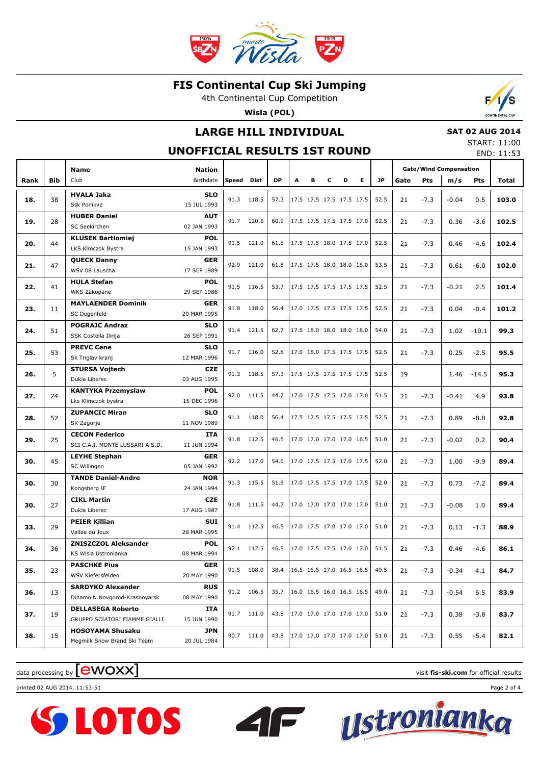

4th Continental Cup Competition

**Wisla (POL)**



# **SAT 02 AUG 2014**

**UNOFFICIAL RESULTS 1ST ROUND**

| START: 11:00 |            |
|--------------|------------|
|              | END: 11:53 |

s

|      |            | Name                                                   | Nation             |       |            |           |   |   |   |                          |   |           |      | <b>Gate/Wind Compensation</b> |         |            |       |  |
|------|------------|--------------------------------------------------------|--------------------|-------|------------|-----------|---|---|---|--------------------------|---|-----------|------|-------------------------------|---------|------------|-------|--|
| Rank | <b>Bib</b> | Club                                                   | Birthdate          | Speed | Dist       | <b>DP</b> | A | в | c | D                        | Е | <b>JP</b> | Gate | Pts                           | m/s     | <b>Pts</b> | Total |  |
|      |            | <b>HVALA Jaka</b>                                      | <b>SLO</b>         |       |            |           |   |   |   |                          |   |           |      |                               |         |            |       |  |
| 18.  | 38         | <b>Ssk Ponikve</b>                                     | 15 JUL 1993        | 91.3  | 118.5      | 57.3      |   |   |   | 17.5 17.5 17.5 17.5 17.5 |   | 52.5      | 21   | $-7.3$                        | $-0.04$ | 0.5        | 103.0 |  |
|      |            | <b>HUBER Daniel</b>                                    | <b>AUT</b>         |       |            |           |   |   |   |                          |   |           |      |                               |         |            |       |  |
| 19.  | 28         | SC Seekirchen                                          | 02 JAN 1993        | 91.7  | 120.5      | 60.9      |   |   |   | 17.5 17.5 17.5 17.5 17.0 |   | 52.5      | 21   | $-7.3$                        | 0.36    | $-3.6$     | 102.5 |  |
|      |            | <b>KLUSEK Bartlomiej</b>                               | <b>POL</b>         | 91.5  |            |           |   |   |   |                          |   | 52.5      |      |                               |         |            |       |  |
| 20.  | 44         | LKS Klmczok Bystra                                     | 15 JAN 1993        |       | 121.0      | 61.8      |   |   |   | 17.5 17.5 18.0 17.5 17.0 |   |           | 21   | $-7.3$                        | 0.46    | $-4.6$     | 102.4 |  |
|      | 47         | <b>QUECK Danny</b>                                     | <b>GER</b>         | 92.9  | 121.0      | 61.8      |   |   |   | 17.5 17.5 18.0 18.0 18.0 |   | 53.5      |      |                               |         |            |       |  |
| 21.  |            | WSV 08 Lauscha                                         | 17 SEP 1989        |       |            |           |   |   |   |                          |   |           | 21   | $-7.3$                        | 0.61    | $-6.0$     | 102.0 |  |
| 22.  | 41         | <b>HULA Stefan</b>                                     | <b>POL</b>         | 91.5  | 116.5      | 53.7      |   |   |   | 17.5 17.5 17.5 17.5 17.5 |   | 52.5      | 21   | $-7.3$                        | $-0.21$ | 2.5        | 101.4 |  |
|      |            | WKS Zakopane                                           | 29 SEP 1986        |       |            |           |   |   |   |                          |   |           |      |                               |         |            |       |  |
| 23.  | 11         | <b>MAYLAENDER Dominik</b>                              | <b>GER</b>         | 91.8  | 118.0      | 56.4      |   |   |   | 17.0 17.5 17.5 17.5 17.5 |   | 52.5      | 21   | $-7.3$                        | 0.04    | $-0.4$     | 101.2 |  |
|      |            | SC Degenfeld                                           | 20 MAR 1995        |       |            |           |   |   |   |                          |   |           |      |                               |         |            |       |  |
| 24.  | 51         | <b>POGRAJC Andraz</b>                                  | <b>SLO</b>         | 91.4  | 121.5      | 62.7      |   |   |   | 17.5 18.0 18.0 18.0 18.0 |   | 54.0      | 21   | $-7.3$                        | 1.02    | $-10.1$    | 99.3  |  |
|      |            | SSK Costella Ilirija                                   | 26 SEP 1991        |       |            |           |   |   |   |                          |   |           |      |                               |         |            |       |  |
| 25.  | 53         | <b>PREVC Cene</b>                                      | <b>SLO</b>         | 91.7  | 116.0      | 52.8      |   |   |   | 17.0 18.0 17.5 17.5 17.5 |   | 52.5      | 21   | $-7.3$                        | 0.25    | $-2.5$     | 95.5  |  |
|      |            | Sk Triglav kranj                                       | 12 MAR 1996        |       |            |           |   |   |   |                          |   |           |      |                               |         |            |       |  |
| 26.  | 5          | <b>STURSA Vojtech</b>                                  | <b>CZE</b>         |       | 91.3 118.5 | 57.3      |   |   |   | 17.5 17.5 17.5 17.5 17.5 |   | 52.5      | 19   |                               | 1.46    | $-14.5$    | 95.3  |  |
|      |            | Dukla Liberec                                          | 03 AUG 1995        |       |            |           |   |   |   |                          |   |           |      |                               |         |            |       |  |
| 27.  | 24         | <b>KANTYKA Przemyslaw</b>                              | <b>POL</b>         | 92.0  | 111.5      | 44.7      |   |   |   | 17.0 17.5 17.5 17.0 17.0 |   | 51.5      | 21   | $-7.3$                        | $-0.41$ | 4.9        | 93.8  |  |
|      |            | Lks Klimczok bystra                                    | 15 DEC 1996        |       |            |           |   |   |   |                          |   |           |      |                               |         |            |       |  |
| 28.  | 52         | <b>ZUPANCIC Miran</b>                                  | <b>SLO</b>         |       | 91.1 118.0 | 56.4      |   |   |   | 17.5 17.5 17.5 17.5 17.5 |   | 52.5      | 21   | $-7.3$                        | 0.89    | $-8.8$     | 92.8  |  |
|      |            | SK Zagorje                                             | 11 NOV 1989        |       |            |           |   |   |   |                          |   |           |      |                               |         |            |       |  |
| 29.  | 25         | <b>CECON Federico</b>                                  | <b>ITA</b>         |       | 91.8 112.5 | 46.5      |   |   |   | 17.0 17.0 17.0 17.0 16.5 |   | 51.0      | 21   | $-7.3$                        | $-0.02$ | 0.2        | 90.4  |  |
|      |            | SCI C.A.I. MONTE LUSSARI A.S.D.                        | 11 JUN 1994        |       |            |           |   |   |   |                          |   |           |      |                               |         |            |       |  |
| 30.  | 45         | <b>LEYHE Stephan</b>                                   | <b>GER</b>         |       | 92.2 117.0 | 54.6      |   |   |   | 17.0 17.5 17.5 17.0 17.5 |   | 52.0      | 21   | $-7.3$                        | 1.00    | $-9.9$     | 89.4  |  |
|      |            | SC Willingen                                           | 05 JAN 1992        |       |            |           |   |   |   |                          |   |           |      |                               |         |            |       |  |
| 30.  | 30         | <b>TANDE Daniel-Andre</b>                              | <b>NOR</b>         |       | 91.3 115.5 | 51.9      |   |   |   | 17.0 17.5 17.5 17.0 17.5 |   | 52.0      | 21   | $-7.3$                        | 0.73    | $-7.2$     | 89.4  |  |
|      |            | Kongsberg IF                                           | 24 JAN 1994        |       |            |           |   |   |   |                          |   |           |      |                               |         |            |       |  |
| 30.  | 27         | <b>CIKL Martin</b>                                     | <b>CZE</b>         |       | 91.8 111.5 | 44.7      |   |   |   | 17.0 17.0 17.0 17.0 17.0 |   | 51.0      | 21   | $-7.3$                        | $-0.08$ | 1.0        | 89.4  |  |
|      |            | Dukla Liberec                                          | 17 AUG 1987        |       |            |           |   |   |   |                          |   |           |      |                               |         |            |       |  |
| 33.  | 29         | <b>PEIER Killian</b>                                   | SUI                | 91.4  | 112.5      | 46.5      |   |   |   | 17.0 17.5 17.0 17.0 17.0 |   | 51.0      | 21   | $-7.3$                        | 0.13    | $-1.3$     | 88.9  |  |
|      |            | Vallee du Joux                                         | 28 MAR 1995        |       |            |           |   |   |   |                          |   |           |      |                               |         |            |       |  |
| 34.  | 36         | <b>ZNISZCZOL Aleksander</b>                            | <b>POL</b>         |       | 92.1 112.5 | 46.5      |   |   |   | 17.0 17.5 17.5 17.0 17.0 |   | 51.5      | 21   | $-7.3$                        | 0.46    | $-4.6$     | 86.1  |  |
|      |            | KS Wisla Ustronianka                                   | 08 MAR 1994        |       |            |           |   |   |   |                          |   |           |      |                               |         |            |       |  |
| 35.  | 23         | <b>PASCHKE Pius</b>                                    | GER                |       | 91.5 108.0 | 38.4      |   |   |   | 16.5 16.5 17.0 16.5 16.5 |   | 49.5      | 21   | $-7.3$                        | $-0.34$ | 4.1        | 84.7  |  |
|      |            | WSV Kiefersfelden                                      | 20 MAY 1990        |       |            |           |   |   |   |                          |   |           |      |                               |         |            |       |  |
| 36.  | 13         | <b>SARDYKO Alexander</b>                               | <b>RUS</b>         |       | 91.2 106.5 | 35.7      |   |   |   | 16.0 16.5 16.0 16.5 16.5 |   | 49.0      | 21   | $-7.3$                        | $-0.54$ | 6.5        | 83.9  |  |
|      |            | Dinamo N.Novgorod-Krasnoyarsk                          | 08 MAY 1990        |       |            |           |   |   |   |                          |   |           |      |                               |         |            |       |  |
| 37.  | 19         | <b>DELLASEGA Roberto</b>                               | ITA                |       | 91.7 111.0 | 43.8      |   |   |   | 17.0 17.0 17.0 17.0 17.0 |   | 51.0      | 21   | $-7.3$                        | 0.38    | $-3.8$     | 83.7  |  |
|      |            | GRUPPO SCIATORI FIAMME GIALLE                          | 15 JUN 1990        |       |            |           |   |   |   |                          |   |           |      |                               |         |            |       |  |
| 38.  | 15         | <b>HOSOYAMA Shusaku</b><br>Megmilk Snow Brand Ski Team | JPN<br>20 JUL 1984 |       | 90.7 111.0 | 43.8      |   |   |   | 17.0 17.0 17.0 17.0 17.0 |   | 51.0      | 21   | -7.3                          | 0.55    | $-5.4$     | 82.1  |  |

 $\blacksquare$ 

data processing by **CWOXX** and  $\blacksquare$  and  $\blacksquare$  and  $\blacksquare$  and  $\blacksquare$  and  $\blacksquare$  and  $\blacksquare$  and  $\blacksquare$  and  $\blacksquare$  and  $\blacksquare$  and  $\blacksquare$  and  $\blacksquare$  and  $\blacksquare$  and  $\blacksquare$  and  $\blacksquare$  and  $\blacksquare$  and  $\blacksquare$  and  $\blacksquare$  and  $\blacks$ 



printed 02 AUG 2014, 11:53:51 Page 2 of 4

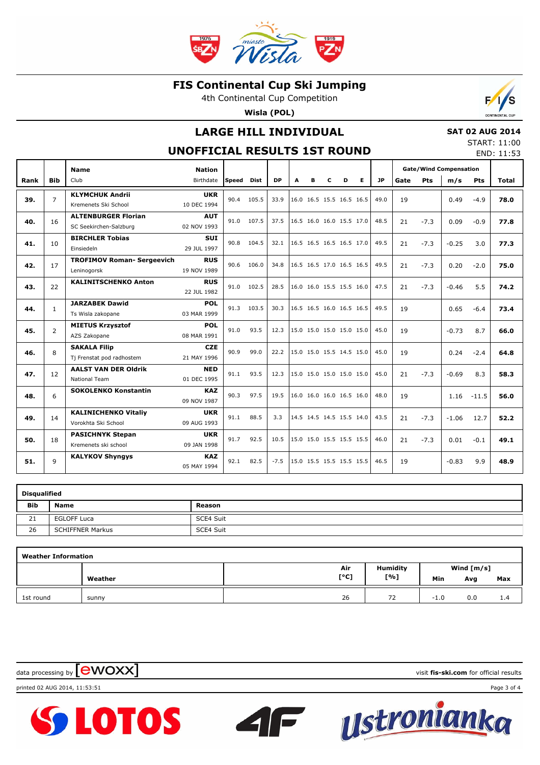

4th Continental Cup Competition

**Wisla (POL)**

## **LARGE HILL INDIVIDUAL**

#### **SAT 02 AUG 2014**

**UNOFFICIAL RESULTS 1ST ROUND**

| START: 11:00 |            |
|--------------|------------|
|              | END: 11:53 |

S

|      |                | <b>Name</b>                                          | <b>Nation</b>             |              |             |           |   |   |   |                          |   |           |      |            | <b>Gate/Wind Compensation</b> |            |       |
|------|----------------|------------------------------------------------------|---------------------------|--------------|-------------|-----------|---|---|---|--------------------------|---|-----------|------|------------|-------------------------------|------------|-------|
| Rank | <b>Bib</b>     | Club                                                 | Birthdate                 | <b>Speed</b> | <b>Dist</b> | <b>DP</b> | A | в | c | D                        | Е | <b>JP</b> | Gate | <b>Pts</b> | m/s                           | <b>Pts</b> | Total |
| 39.  | $\overline{7}$ | <b>KLYMCHUK Andrii</b><br>Kremenets Ski School       | <b>UKR</b><br>10 DEC 1994 | 90.4         | 105.5       | 33.9      |   |   |   | 16.0 16.5 15.5 16.5 16.5 |   | 49.0      | 19   |            | 0.49                          | $-4.9$     | 78.0  |
| 40.  | 16             | <b>ALTENBURGER Florian</b><br>SC Seekirchen-Salzburg | <b>AUT</b><br>02 NOV 1993 | 91.0         | 107.5       | 37.5      |   |   |   | 16.5 16.0 16.0 15.5 17.0 |   | 48.5      | 21   | $-7.3$     | 0.09                          | $-0.9$     | 77.8  |
| 41.  | 10             | <b>BIRCHLER Tobias</b><br>Einsiedeln                 | <b>SUI</b><br>29 JUL 1997 | 90.8         | 104.5       | 32.1      |   |   |   | 16.5 16.5 16.5 16.5 17.0 |   | 49.5      | 21   | $-7.3$     | $-0.25$                       | 3.0        | 77.3  |
| 42.  | 17             | <b>TROFIMOV Roman- Sergeevich</b><br>Leninogorsk     | <b>RUS</b><br>19 NOV 1989 | 90.6         | 106.0       | 34.8      |   |   |   | 16.5 16.5 17.0 16.5 16.5 |   | 49.5      | 21   | $-7.3$     | 0.20                          | $-2.0$     | 75.0  |
| 43.  | 22             | <b>KALINITSCHENKO Anton</b>                          | <b>RUS</b><br>22 JUL 1982 | 91.0         | 102.5       | 28.5      |   |   |   | 16.0 16.0 15.5 15.5 16.0 |   | 47.5      | 21   | $-7.3$     | $-0.46$                       | 5.5        | 74.2  |
| 44.  | $\mathbf{1}$   | <b>JARZABEK Dawid</b><br>Ts Wisla zakopane           | <b>POL</b><br>03 MAR 1999 | 91.3         | 103.5       | 30.3      |   |   |   | 16.5 16.5 16.0 16.5 16.5 |   | 49.5      | 19   |            | 0.65                          | $-6.4$     | 73.4  |
| 45.  | 2              | <b>MIETUS Krzysztof</b><br>AZS Zakopane              | <b>POL</b><br>08 MAR 1991 | 91.0         | 93.5        | 12.3      |   |   |   | 15.0 15.0 15.0 15.0 15.0 |   | 45.0      | 19   |            | $-0.73$                       | 8.7        | 66.0  |
| 46.  | 8              | <b>SAKALA Filip</b><br>Tj Frenstat pod radhostem     | <b>CZE</b><br>21 MAY 1996 | 90.9         | 99.0        | 22.2      |   |   |   | 15.0 15.0 15.5 14.5 15.0 |   | 45.0      | 19   |            | 0.24                          | $-2.4$     | 64.8  |
| 47.  | 12             | <b>AALST VAN DER Oldrik</b><br>National Team         | <b>NED</b><br>01 DEC 1995 | 91.1         | 93.5        | 12.3      |   |   |   | 15.0 15.0 15.0 15.0 15.0 |   | 45.0      | 21   | $-7.3$     | $-0.69$                       | 8.3        | 58.3  |
| 48.  | 6              | <b>SOKOLENKO Konstantin</b>                          | <b>KAZ</b><br>09 NOV 1987 | 90.3         | 97.5        | 19.5      |   |   |   | 16.0 16.0 16.0 16.5 16.0 |   | 48.0      | 19   |            | 1.16                          | $-11.5$    | 56.0  |
| 49.  | 14             | <b>KALINICHENKO Vitaliy</b><br>Vorokhta Ski School   | <b>UKR</b><br>09 AUG 1993 | 91.1         | 88.5        | 3.3       |   |   |   | 14.5 14.5 14.5 15.5 14.0 |   | 43.5      | 21   | $-7.3$     | $-1.06$                       | 12.7       | 52.2  |
| 50.  | 18             | <b>PASICHNYK Stepan</b><br>Kremenets ski school      | <b>UKR</b><br>09 JAN 1998 | 91.7         | 92.5        | 10.5      |   |   |   | 15.0 15.0 15.5 15.5 15.5 |   | 46.0      | 21   | $-7.3$     | 0.01                          | $-0.1$     | 49.1  |
| 51.  | 9              | <b>KALYKOV Shyngys</b>                               | <b>KAZ</b><br>05 MAY 1994 | 92.1         | 82.5        | $-7.5$    |   |   |   | 15.0 15.5 15.5 15.5 15.5 |   | 46.5      | 19   |            | $-0.83$                       | 9.9        | 48.9  |

| <b>Disqualified</b> |                         |           |
|---------------------|-------------------------|-----------|
| Bib                 | <b>Name</b>             | Reason    |
| 21                  | <b>EGLOFF Luca</b>      | SCE4 Suit |
| 26                  | <b>SCHIFFNER Markus</b> | SCE4 Suit |

| <b>Weather Information</b> |         |      |                                                                |     |     |
|----------------------------|---------|------|----------------------------------------------------------------|-----|-----|
|                            |         | Air  | <b>Humidity</b>                                                |     |     |
|                            | Weather | [°C] | Wind $[m/s]$<br>[%]<br>Min<br>Avg<br>26<br>72<br>0.0<br>$-1.0$ | Max |     |
| 1st round                  | sunny   |      |                                                                |     | 1.4 |

 $\blacksquare$ 

data processing by **CWOXX** and  $\blacksquare$  and  $\blacksquare$  and  $\blacksquare$  and  $\blacksquare$  and  $\blacksquare$  and  $\blacksquare$  and  $\blacksquare$  and  $\blacksquare$  and  $\blacksquare$  and  $\blacksquare$  and  $\blacksquare$  and  $\blacksquare$  and  $\blacksquare$  and  $\blacksquare$  and  $\blacksquare$  and  $\blacksquare$  and  $\blacksquare$  and  $\blacks$ 

**SS LOTOS** 

printed 02 AUG 2014, 11:53:51 Page 3 of 4